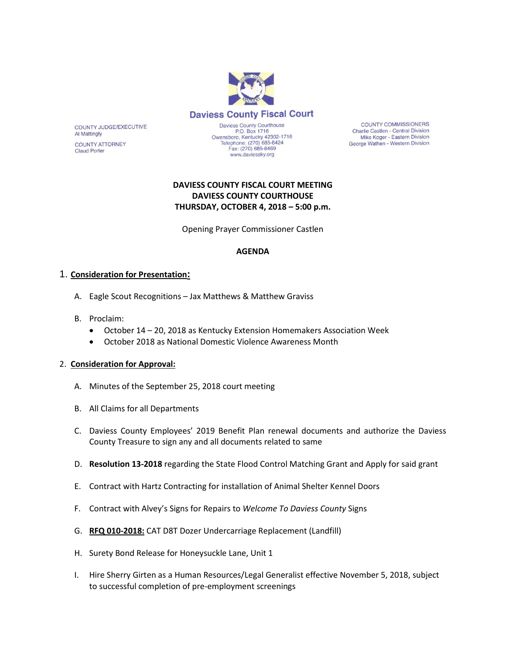

**Daviess County Fiscal Court** 

COUNTY JUDGE/EXECUTIVE **Al Mattingly** 

**COUNTY ATTORNEY Claud Porter** 

Daviess County Courthouse<br>P.O. Box 1716 Owensboro, Kentucky 42302-1716<br>Telephone: (270) 685-8424<br>Fax: (270) 685-8469 www.daviessky.org

**COUNTY COMMISSIONERS** Charlie Castlen - Central Division Mike Koger - Eastern Division George Wathen - Western Division

# **DAVIESS COUNTY FISCAL COURT MEETING DAVIESS COUNTY COURTHOUSE THURSDAY, OCTOBER 4, 2018 – 5:00 p.m.**

Opening Prayer Commissioner Castlen

#### **AGENDA**

## 1. **Consideration for Presentation:**

- A. Eagle Scout Recognitions Jax Matthews & Matthew Graviss
- B. Proclaim:
	- October 14 20, 2018 as Kentucky Extension Homemakers Association Week
	- October 2018 as National Domestic Violence Awareness Month

#### 2. **Consideration for Approval:**

- A. Minutes of the September 25, 2018 court meeting
- B. All Claims for all Departments
- C. Daviess County Employees' 2019 Benefit Plan renewal documents and authorize the Daviess County Treasure to sign any and all documents related to same
- D. **Resolution 13-2018** regarding the State Flood Control Matching Grant and Apply for said grant
- E. Contract with Hartz Contracting for installation of Animal Shelter Kennel Doors
- F. Contract with Alvey's Signs for Repairs to *Welcome To Daviess County* Signs
- G. **RFQ 010-2018:** CAT D8T Dozer Undercarriage Replacement (Landfill)
- H. Surety Bond Release for Honeysuckle Lane, Unit 1
- I. Hire Sherry Girten as a Human Resources/Legal Generalist effective November 5, 2018, subject to successful completion of pre-employment screenings